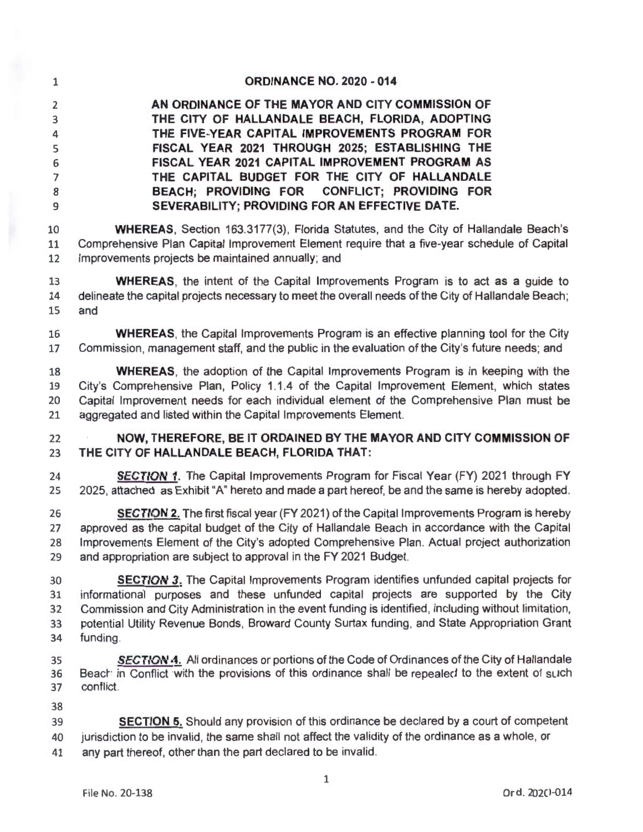| $\mathbf{1}$   | <b>ORDINANCE NO. 2020 - 014</b>                  |  |  |
|----------------|--------------------------------------------------|--|--|
| $\overline{2}$ | AN ORDINANCE OF THE MAYOR AND CITY COMMISSION OF |  |  |
| 3              | THE CITY OF HALLANDALE BEACH, FLORIDA, ADOPTING  |  |  |
| $\overline{4}$ | THE FIVE-YEAR CAPITAL IMPROVEMENTS PROGRAM FOR   |  |  |
| 5              | FISCAL YEAR 2021 THROUGH 2025; ESTABLISHING THE  |  |  |
| 6              | FISCAL YEAR 2021 CAPITAL IMPROVEMENT PROGRAM AS  |  |  |
| $\overline{7}$ | THE CAPITAL BUDGET FOR THE CITY OF HALLANDALE    |  |  |
| 8              | BEACH; PROVIDING FOR CONFLICT; PROVIDING FOR     |  |  |
| 9              | SEVERABILITY; PROVIDING FOR AN EFFECTIVE DATE.   |  |  |

**WHEREAS,** Section 163.3177(3), Florida Statutes, and the City of Hallandale Beach's 11 Comprehensive Plan Capital Improvement Element require that a five-year schedule of Capital Improvements projects be maintained annually; and

**WHEREAS,** the intent of the Capital Improvements Program is to act as a guide to delineate the capital projects necessary to meet the overall needs of the City of Hallandale Beach; and

**WHEREAS,** the Capital Improvements Program is an effective planning tool for the City Commission, management staff, and the public in the evaluation of the City's future needs; and

**WHEREAS,** the adoption of the Capital Improvements Program is in keeping with the City's Comprehensive Plan, Policy 1.1.4 of the Capital Improvement Element, which states 20 Capital Improvement needs for each individual element of the Comprehensive Plan must be aggregated and listed within the Capital Improvements Element.

## **NOW, THEREFORE, BE IT ORDAINED BY THE MAYOR AND CITY COMMISSION OF THE CITY OF HALLANDALE BEACH, FLORIDA THAT:**

**SECTION 1.** The Capital Improvements Program for Fiscal Year (FY) 2021 through FY 25 2025, attached as Exhibit "A" hereto and made a part hereof, be and the same is hereby adopted.

**SECTION 2.** The first fiscal year (FY 2021) of the Capital Improvements Program is hereby approved as the capital budget of the City of Hallandale Beach in accordance with the Capital 28 Improvements Element of the City's adopted Comprehensive Plan. Actual project authorization 29 and appropriation are subject to approval in the FY 2021 Budget.

**SECTION 3.** The Capital Improvements Program identifies unfunded capital projects for informationa1 purposes and these unfunded capital projects are supported by the City 32 Commission and City Administration in the event funding is identified, including without limitation, 33 potential Utility Revenue Bonds, Broward County Surtax funding, and State Appropriation Grant 34 funding.

- **SECTION 4.** All ordinances or portions of the Code of Ordinances of the City of Hallandale 36 Beact: in Conflict with the provisions of this ordinance shall be repealed to the extent of such conflict.
- 

**SECTION 5.** Should any provision of this ordinance be declared by a court of competent

jurisdiction to be invalid, the same shall not affect the validity of the ordinance as a whole, or

any part thereof, other than the part declared to be invalid.